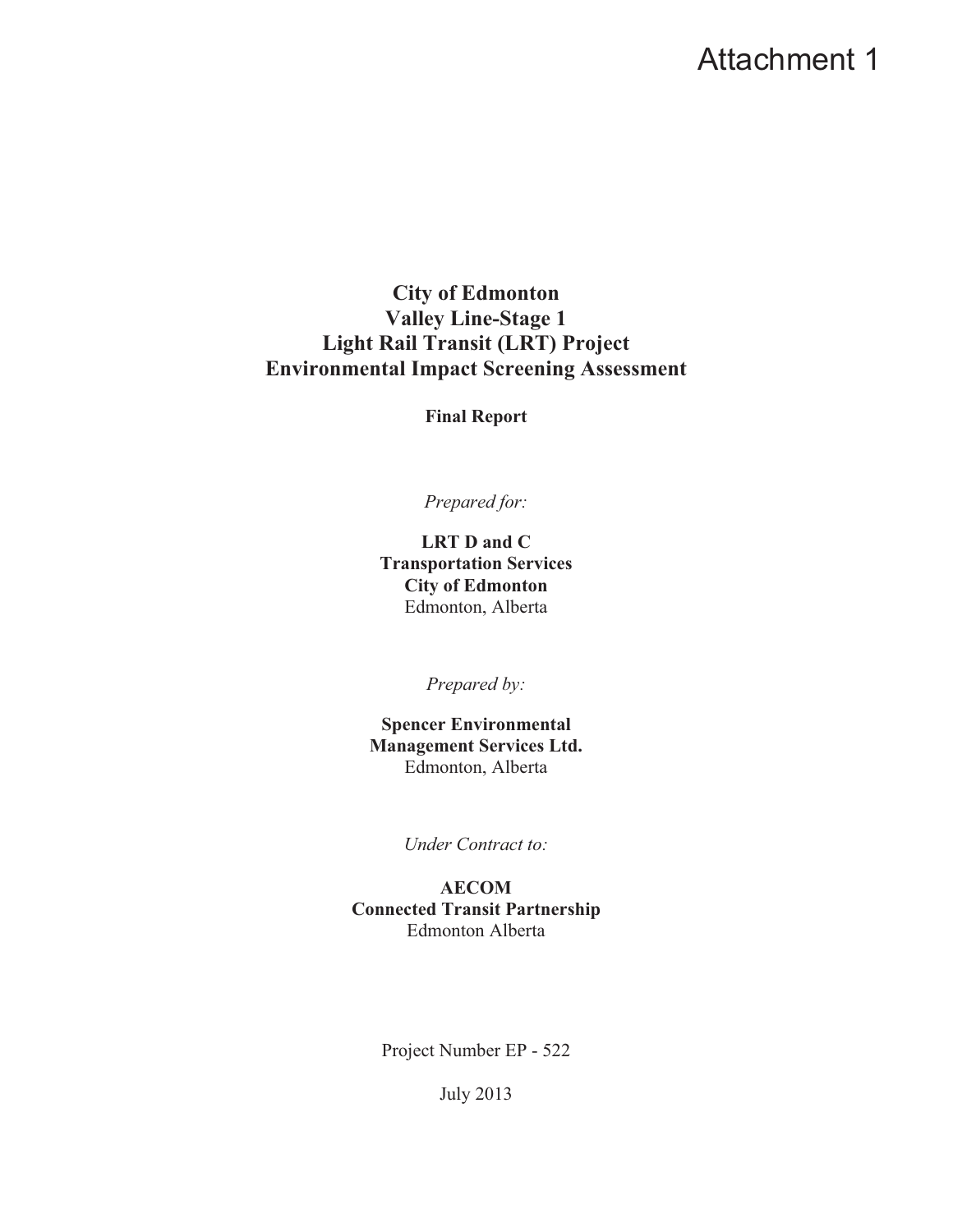# Attachment 1

**City of Edmonton Valley Line-Stage 1 Light Rail Transit (LRT) Project Environmental Impact Screening Assessment**

**Final Report** 

*Prepared for:* 

**LRT D and C Transportation Services City of Edmonton**  Edmonton, Alberta

*Prepared by:* 

**Spencer Environmental Management Services Ltd.**  Edmonton, Alberta

*Under Contract to:*

**AECOM Connected Transit Partnership**  Edmonton Alberta

Project Number EP - 522

July 2013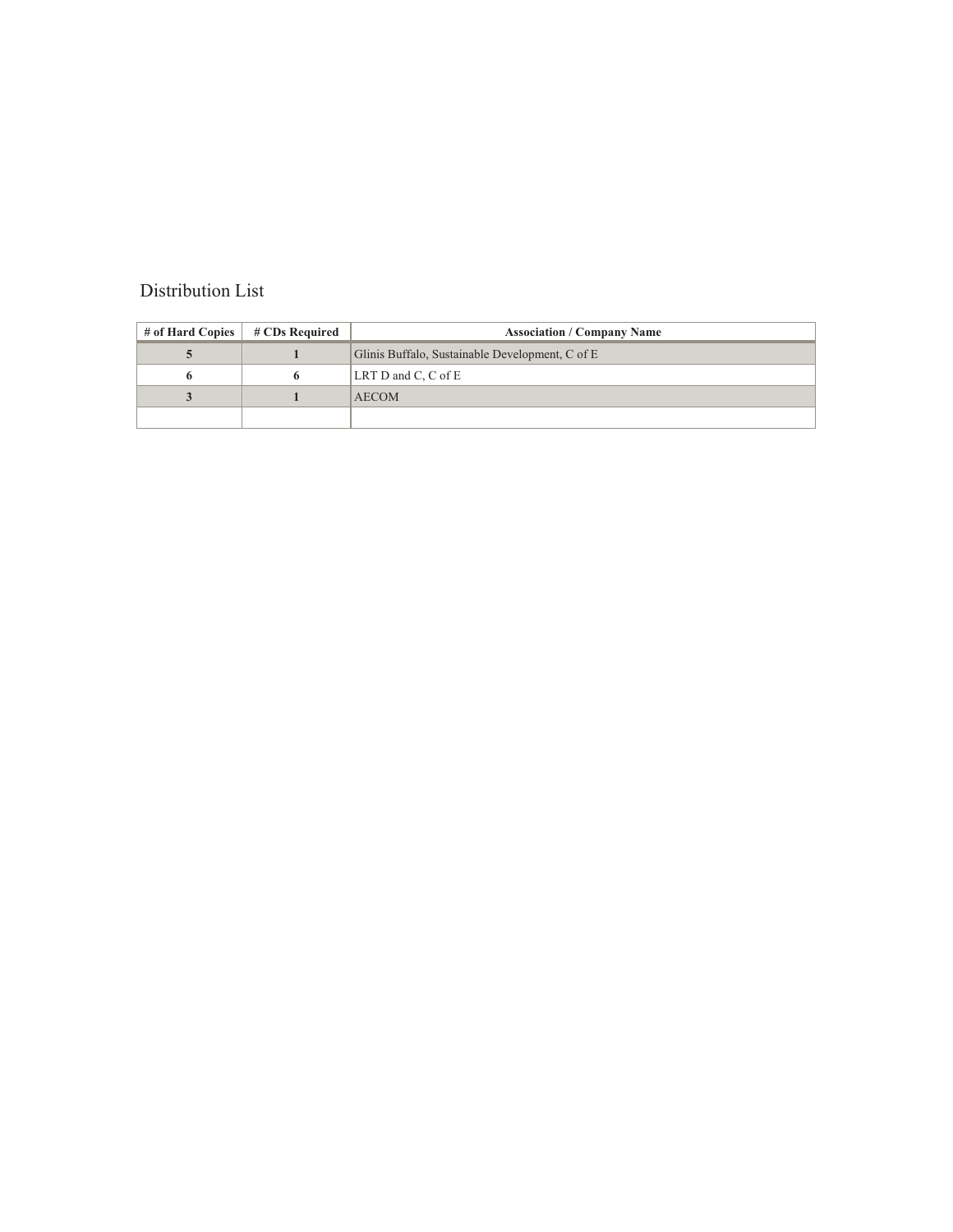#### Distribution List

| # of Hard Copies | # CDs Required | <b>Association / Company Name</b>               |
|------------------|----------------|-------------------------------------------------|
|                  |                | Glinis Buffalo, Sustainable Development, C of E |
|                  |                | LRT D and C, C of E                             |
|                  |                | <b>AECOM</b>                                    |
|                  |                |                                                 |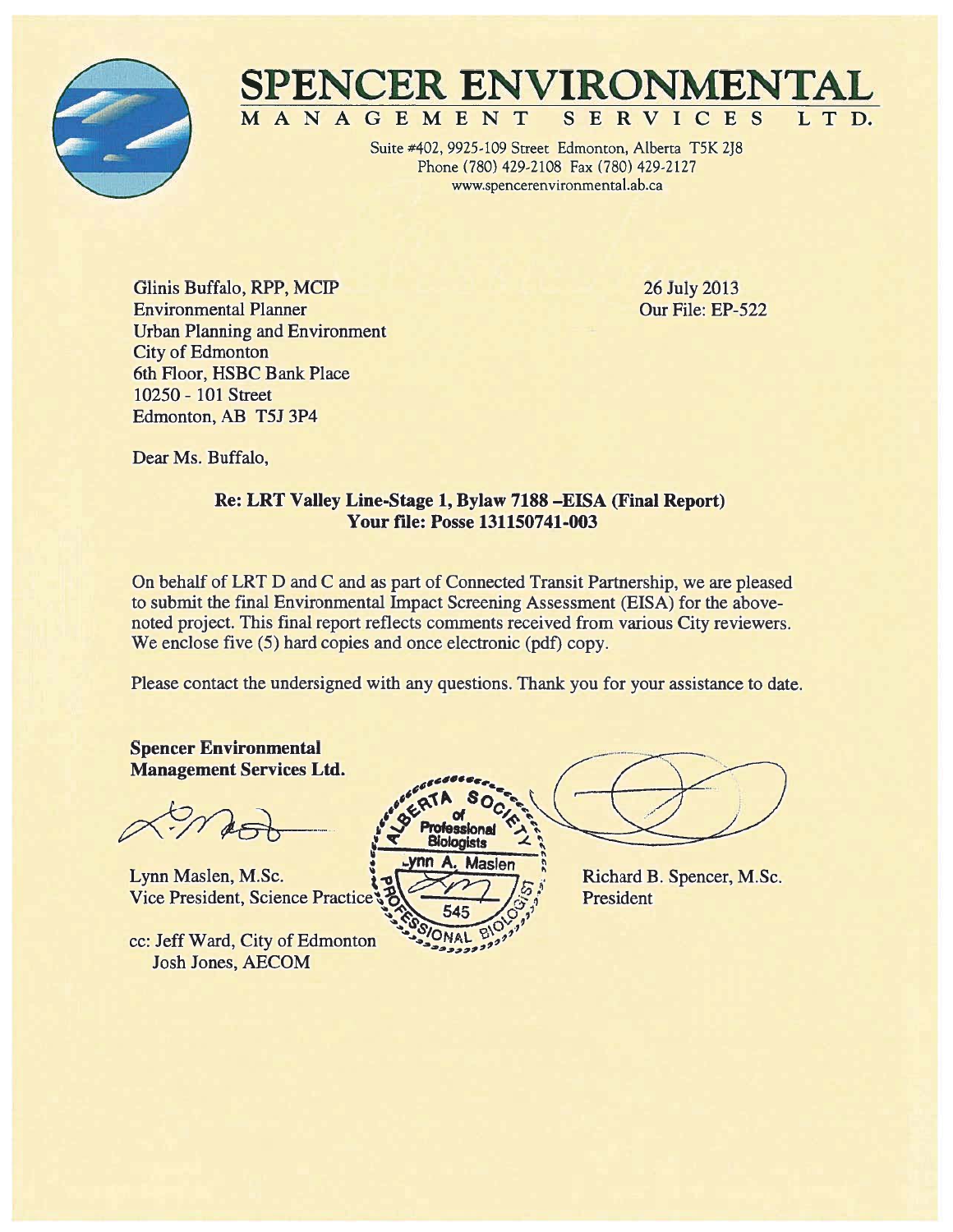

#### SPENCER ENVIRONMENT MANAGEMENT ICES S E R V L T D.

Suite #402, 9925-109 Street Edmonton, Alberta T5K 2J8 Phone (780) 429-2108 Fax (780) 429-2127 www.spencerenvironmental.ab.ca

Glinis Buffalo, RPP, MCIP **Environmental Planner Urban Planning and Environment City of Edmonton** 6th Floor, HSBC Bank Place 10250 - 101 Street Edmonton, AB T5J 3P4

26 July 2013 Our File: EP-522

Dear Ms. Buffalo,

#### Re: LRT Valley Line-Stage 1, Bylaw 7188 -EISA (Final Report) **Your file: Posse 131150741-003**

On behalf of LRT D and C and as part of Connected Transit Partnership, we are pleased to submit the final Environmental Impact Screening Assessment (EISA) for the abovenoted project. This final report reflects comments received from various City reviewers. We enclose five (5) hard copies and once electronic (pdf) copy.

Please contact the undersigned with any questions. Thank you for your assistance to date.

**Spencer Environmental Management Services Ltd.** 

Lynn Maslen, M.Sc. **Vice President, Science Practice** 

cc: Jeff Ward, City of Edmonton **Josh Jones, AECOM** 



Richard B. Spencer, M.Sc. President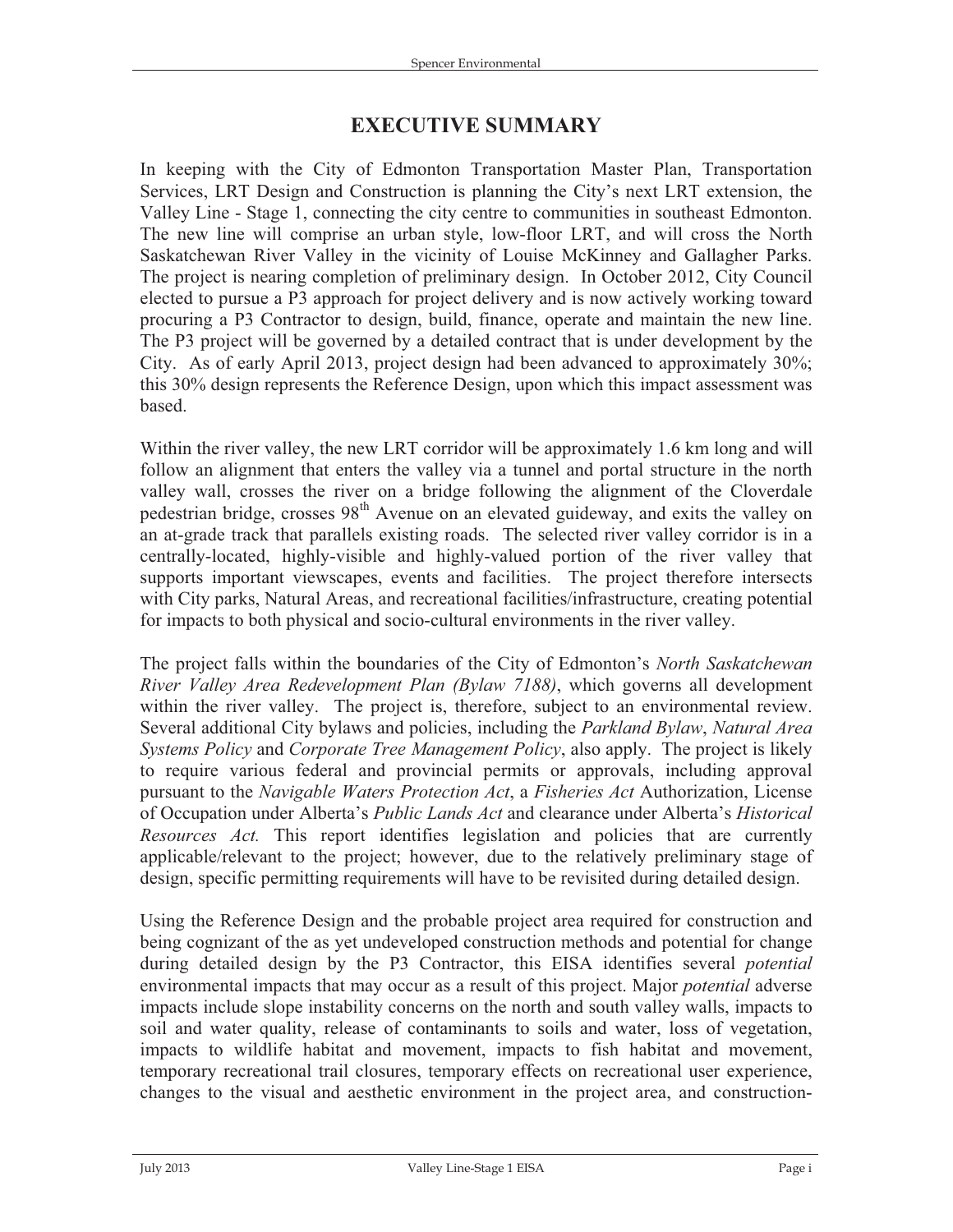### **EXECUTIVE SUMMARY**

In keeping with the City of Edmonton Transportation Master Plan, Transportation Services, LRT Design and Construction is planning the City's next LRT extension, the Valley Line - Stage 1, connecting the city centre to communities in southeast Edmonton. The new line will comprise an urban style, low-floor LRT, and will cross the North Saskatchewan River Valley in the vicinity of Louise McKinney and Gallagher Parks. The project is nearing completion of preliminary design. In October 2012, City Council elected to pursue a P3 approach for project delivery and is now actively working toward procuring a P3 Contractor to design, build, finance, operate and maintain the new line. The P3 project will be governed by a detailed contract that is under development by the City. As of early April 2013, project design had been advanced to approximately 30%; this 30% design represents the Reference Design, upon which this impact assessment was based.

Within the river valley, the new LRT corridor will be approximately 1.6 km long and will follow an alignment that enters the valley via a tunnel and portal structure in the north valley wall, crosses the river on a bridge following the alignment of the Cloverdale pedestrian bridge, crosses  $98<sup>th</sup>$  Avenue on an elevated guideway, and exits the valley on an at-grade track that parallels existing roads. The selected river valley corridor is in a centrally-located, highly-visible and highly-valued portion of the river valley that supports important viewscapes, events and facilities. The project therefore intersects with City parks, Natural Areas, and recreational facilities/infrastructure, creating potential for impacts to both physical and socio-cultural environments in the river valley.

The project falls within the boundaries of the City of Edmonton's *North Saskatchewan River Valley Area Redevelopment Plan (Bylaw 7188)*, which governs all development within the river valley. The project is, therefore, subject to an environmental review. Several additional City bylaws and policies, including the *Parkland Bylaw*, *Natural Area Systems Policy* and *Corporate Tree Management Policy*, also apply. The project is likely to require various federal and provincial permits or approvals, including approval pursuant to the *Navigable Waters Protection Act*, a *Fisheries Act* Authorization, License of Occupation under Alberta's *Public Lands Act* and clearance under Alberta's *Historical Resources Act.* This report identifies legislation and policies that are currently applicable/relevant to the project; however, due to the relatively preliminary stage of design, specific permitting requirements will have to be revisited during detailed design.

Using the Reference Design and the probable project area required for construction and being cognizant of the as yet undeveloped construction methods and potential for change during detailed design by the P3 Contractor, this EISA identifies several *potential* environmental impacts that may occur as a result of this project. Major *potential* adverse impacts include slope instability concerns on the north and south valley walls, impacts to soil and water quality, release of contaminants to soils and water, loss of vegetation, impacts to wildlife habitat and movement, impacts to fish habitat and movement, temporary recreational trail closures, temporary effects on recreational user experience, changes to the visual and aesthetic environment in the project area, and construction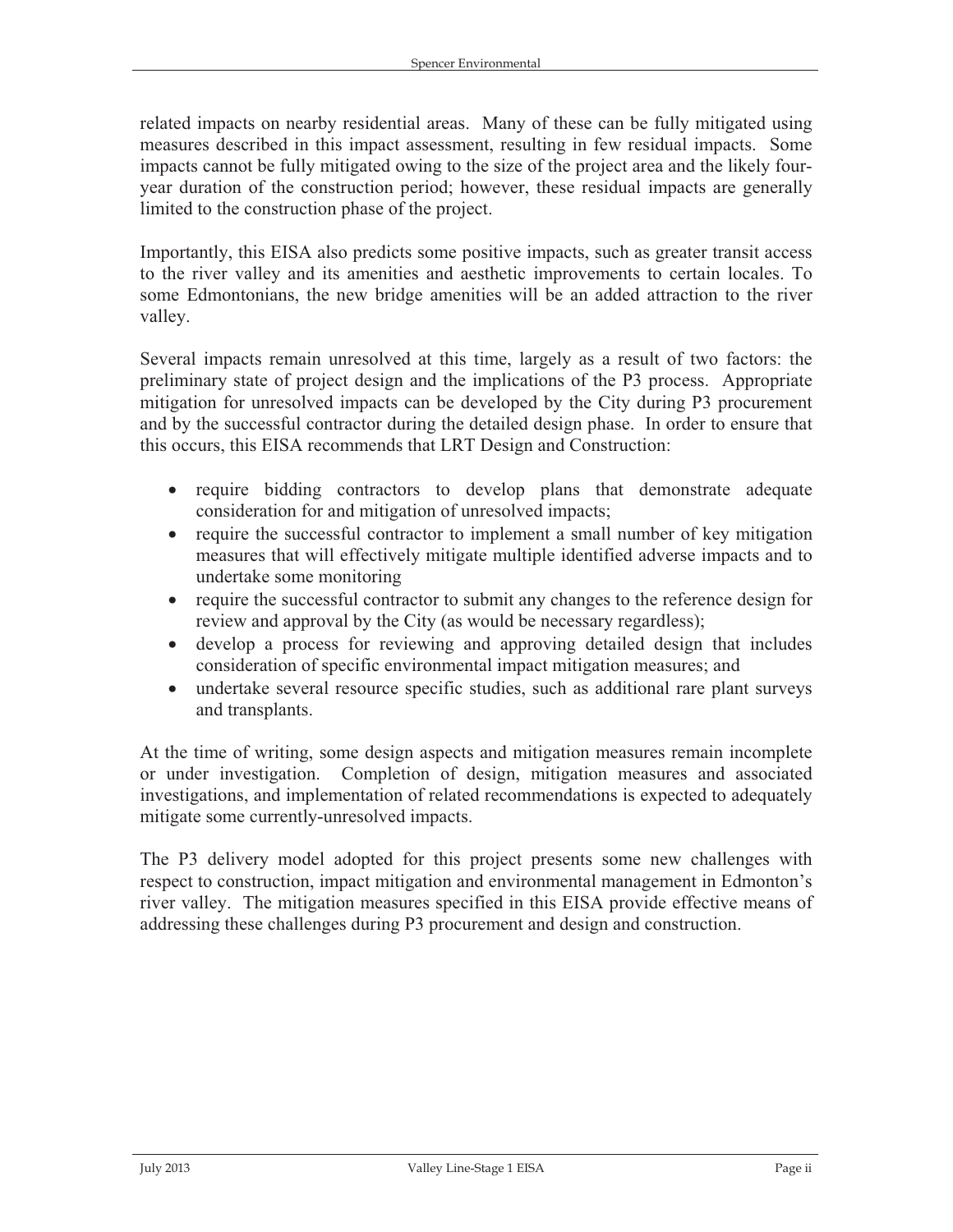related impacts on nearby residential areas. Many of these can be fully mitigated using measures described in this impact assessment, resulting in few residual impacts. Some impacts cannot be fully mitigated owing to the size of the project area and the likely fouryear duration of the construction period; however, these residual impacts are generally limited to the construction phase of the project.

Importantly, this EISA also predicts some positive impacts, such as greater transit access to the river valley and its amenities and aesthetic improvements to certain locales. To some Edmontonians, the new bridge amenities will be an added attraction to the river valley.

Several impacts remain unresolved at this time, largely as a result of two factors: the preliminary state of project design and the implications of the P3 process. Appropriate mitigation for unresolved impacts can be developed by the City during P3 procurement and by the successful contractor during the detailed design phase. In order to ensure that this occurs, this EISA recommends that LRT Design and Construction:

- require bidding contractors to develop plans that demonstrate adequate consideration for and mitigation of unresolved impacts;
- require the successful contractor to implement a small number of key mitigation measures that will effectively mitigate multiple identified adverse impacts and to undertake some monitoring
- require the successful contractor to submit any changes to the reference design for review and approval by the City (as would be necessary regardless);
- develop a process for reviewing and approving detailed design that includes consideration of specific environmental impact mitigation measures; and
- $\bullet$  undertake several resource specific studies, such as additional rare plant surveys and transplants.

At the time of writing, some design aspects and mitigation measures remain incomplete or under investigation. Completion of design, mitigation measures and associated investigations, and implementation of related recommendations is expected to adequately mitigate some currently-unresolved impacts.

The P3 delivery model adopted for this project presents some new challenges with respect to construction, impact mitigation and environmental management in Edmonton's river valley. The mitigation measures specified in this EISA provide effective means of addressing these challenges during P3 procurement and design and construction.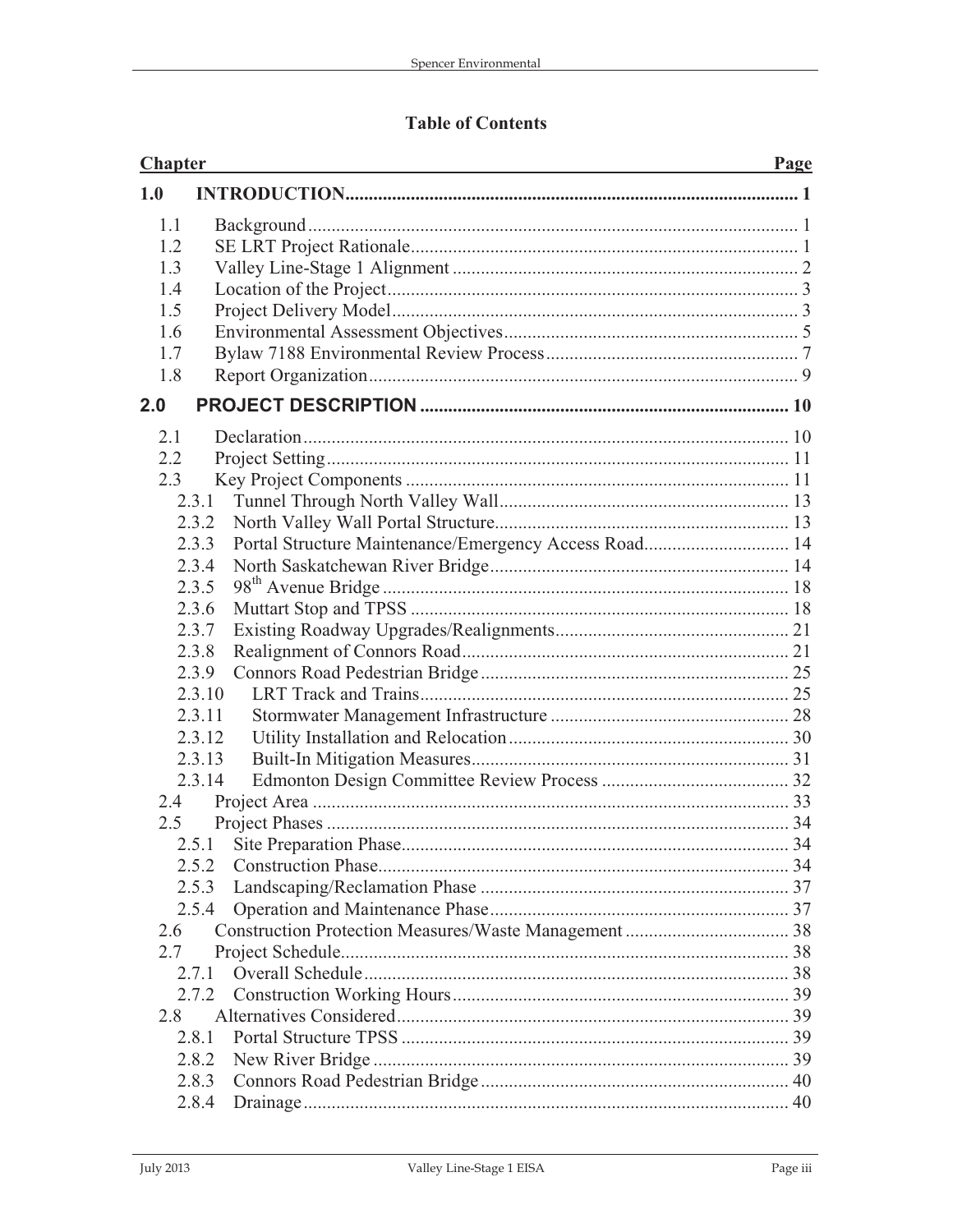### **Table of Contents**

| <b>Chapter</b> |                                                                | Page |
|----------------|----------------------------------------------------------------|------|
| 1.0            |                                                                |      |
| 1.1            |                                                                |      |
| 1.2            |                                                                |      |
| 1.3            |                                                                |      |
| 1.4            |                                                                |      |
| 1.5            |                                                                |      |
| 1.6            |                                                                |      |
| 1.7            |                                                                |      |
| 1.8            |                                                                |      |
| 2.0            |                                                                |      |
| 2.1            |                                                                |      |
| 2.2            |                                                                |      |
| 2.3            |                                                                |      |
|                | 2.3.1                                                          |      |
|                | 2.3.2                                                          |      |
|                | Portal Structure Maintenance/Emergency Access Road 14<br>2.3.3 |      |
|                | 2.3.4                                                          |      |
|                | 2.3.5                                                          |      |
|                | 2.3.6                                                          |      |
|                | 2.3.7                                                          |      |
|                | 2.3.8                                                          |      |
|                | 2.3.9                                                          |      |
|                | 2.3.10                                                         |      |
|                | 2.3.11                                                         |      |
|                | 2.3.12                                                         |      |
|                | 2.3.13                                                         |      |
|                | 2.3.14                                                         |      |
| 2.4            |                                                                |      |
| $2.5^{\circ}$  |                                                                |      |
|                | 2.5.1                                                          |      |
|                | 2.5.2                                                          |      |
|                | 2.5.3                                                          |      |
|                | 2.5.4                                                          |      |
| 2.6            |                                                                |      |
| 2.7            |                                                                |      |
|                | 2.7.1                                                          |      |
|                | 2.7.2                                                          |      |
| 2.8            |                                                                |      |
|                | 2.8.1                                                          |      |
|                | 2.8.2                                                          |      |
|                | 2.8.3                                                          |      |
|                | 2.8.4                                                          |      |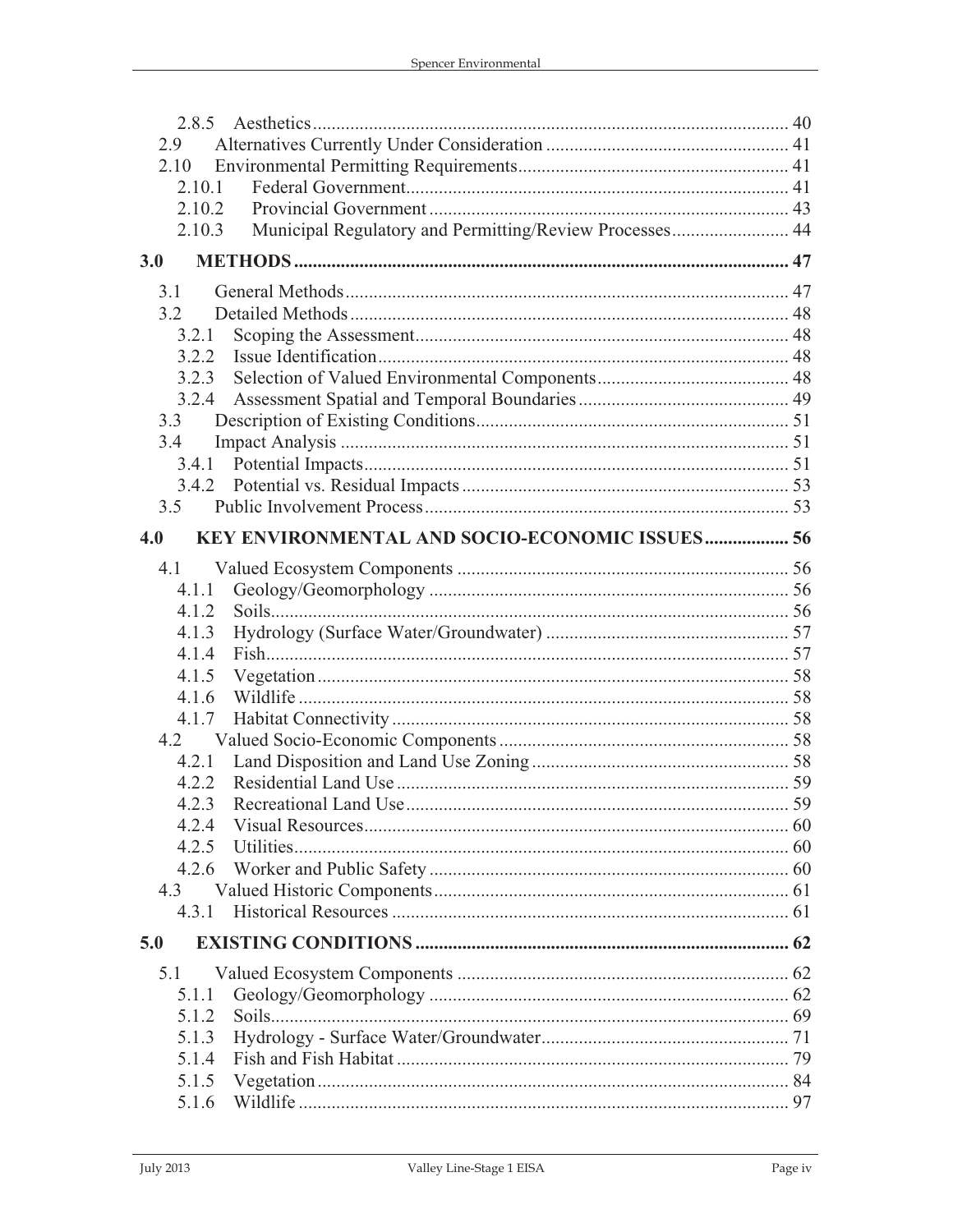| 2.8.5  |                                                         |  |
|--------|---------------------------------------------------------|--|
| 2.9    |                                                         |  |
| 2.10   |                                                         |  |
| 2.10.1 |                                                         |  |
| 2.10.2 |                                                         |  |
| 2.10.3 | Municipal Regulatory and Permitting/Review Processes 44 |  |
| 3.0    |                                                         |  |
| 3.1    |                                                         |  |
| 3.2    |                                                         |  |
| 3.2.1  |                                                         |  |
| 3.2.2  |                                                         |  |
| 3.2.3  |                                                         |  |
| 3.2.4  |                                                         |  |
| 3.3    |                                                         |  |
| 3.4    |                                                         |  |
| 3.4.1  |                                                         |  |
| 3.4.2  |                                                         |  |
| 3.5    |                                                         |  |
| 4.0    | KEY ENVIRONMENTAL AND SOCIO-ECONOMIC ISSUES 56          |  |
| 4.1    |                                                         |  |
| 4.1.1  |                                                         |  |
| 4.1.2  |                                                         |  |
| 4.1.3  |                                                         |  |
| 4.1.4  |                                                         |  |
| 4.1.5  |                                                         |  |
| 4.1.6  |                                                         |  |
| 4.1.7  |                                                         |  |
| 4.2    |                                                         |  |
| 4.2.1  |                                                         |  |
| 4.2.2  |                                                         |  |
| 4.2.3  |                                                         |  |
| 4.2.4  |                                                         |  |
| 4.2.5  |                                                         |  |
| 4.2.6  |                                                         |  |
| 4.3    |                                                         |  |
| 4.3.1  |                                                         |  |
| 5.0    |                                                         |  |
| 5.1    |                                                         |  |
| 5.1.1  |                                                         |  |
| 5.1.2  |                                                         |  |
| 5.1.3  |                                                         |  |
| 5.1.4  |                                                         |  |
| 5.1.5  |                                                         |  |
| 5.1.6  |                                                         |  |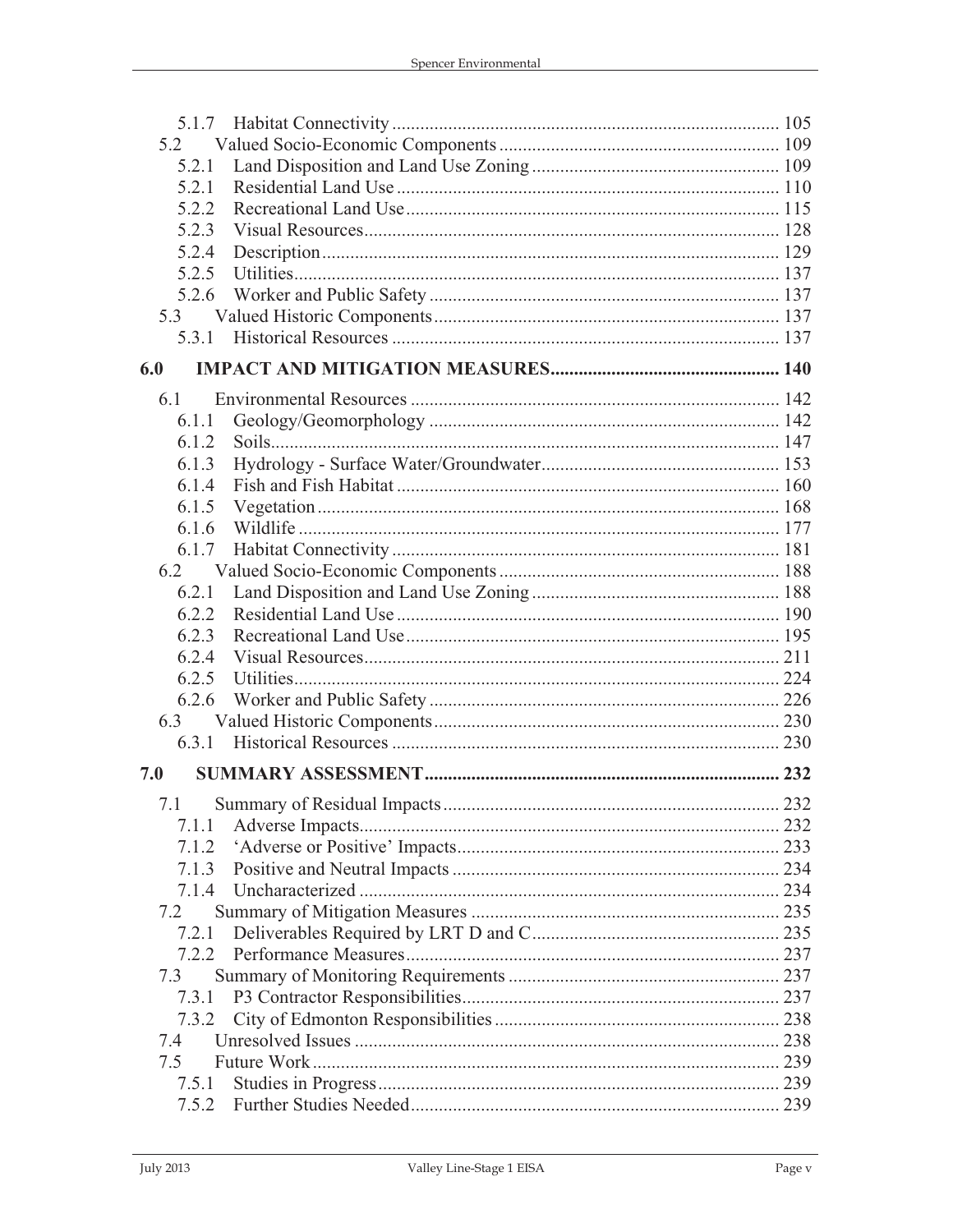| 5.1.7 |  |
|-------|--|
| 5.2   |  |
| 5.2.1 |  |
| 5.2.1 |  |
| 5.2.2 |  |
| 5.2.3 |  |
| 5.2.4 |  |
| 5.2.5 |  |
| 5.2.6 |  |
| 5.3   |  |
| 5.3.1 |  |
| 6.0   |  |
| 6.1   |  |
| 6.1.1 |  |
| 6.1.2 |  |
| 6.1.3 |  |
| 6.1.4 |  |
| 6.1.5 |  |
| 6.1.6 |  |
| 6.1.7 |  |
| 6.2   |  |
| 6.2.1 |  |
| 6.2.2 |  |
| 6.2.3 |  |
| 6.2.4 |  |
| 6.2.5 |  |
| 6.2.6 |  |
| 6.3   |  |
| 6.3.1 |  |
| 7.0   |  |
| 7.1   |  |
| 7.1.1 |  |
| 7.1.2 |  |
| 7.1.3 |  |
| 7.1.4 |  |
| 7.2   |  |
| 7.2.1 |  |
| 7.2.2 |  |
| 7.3   |  |
| 7.3.1 |  |
| 7.3.2 |  |
| 7.4   |  |
| 7.5   |  |
| 7.5.1 |  |
| 7.5.2 |  |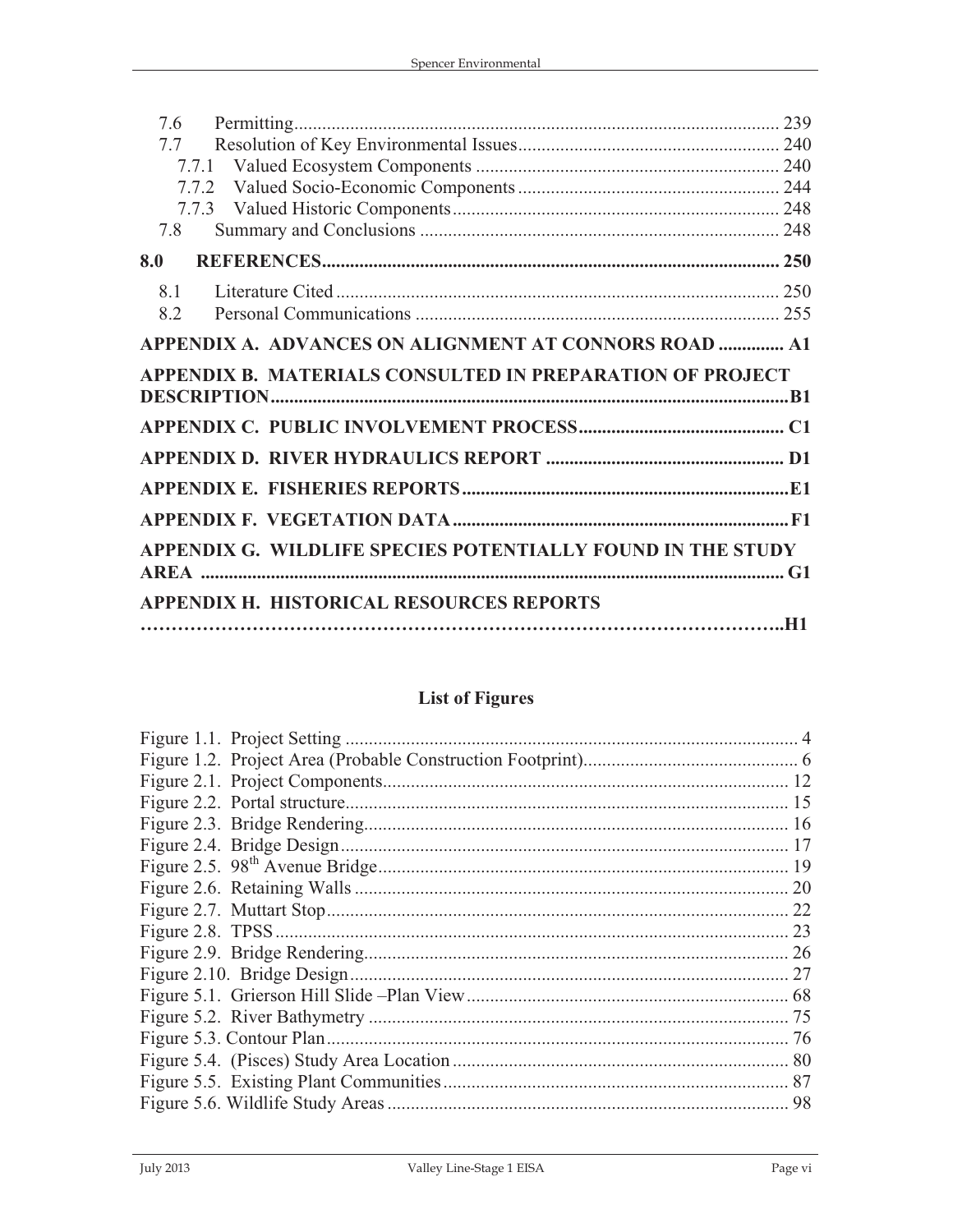| 7.6 |                                                             |  |
|-----|-------------------------------------------------------------|--|
| 7.7 |                                                             |  |
|     |                                                             |  |
|     |                                                             |  |
|     |                                                             |  |
|     |                                                             |  |
| 7.8 |                                                             |  |
| 8.0 |                                                             |  |
| 8.1 |                                                             |  |
| 8.2 |                                                             |  |
|     | APPENDIX A. ADVANCES ON ALIGNMENT AT CONNORS ROAD  A1       |  |
|     | APPENDIX B. MATERIALS CONSULTED IN PREPARATION OF PROJECT   |  |
|     |                                                             |  |
|     |                                                             |  |
|     |                                                             |  |
|     |                                                             |  |
|     |                                                             |  |
|     | APPENDIX G. WILDLIFE SPECIES POTENTIALLY FOUND IN THE STUDY |  |
|     | APPENDIX H. HISTORICAL RESOURCES REPORTS                    |  |
|     |                                                             |  |

## **List of Figures**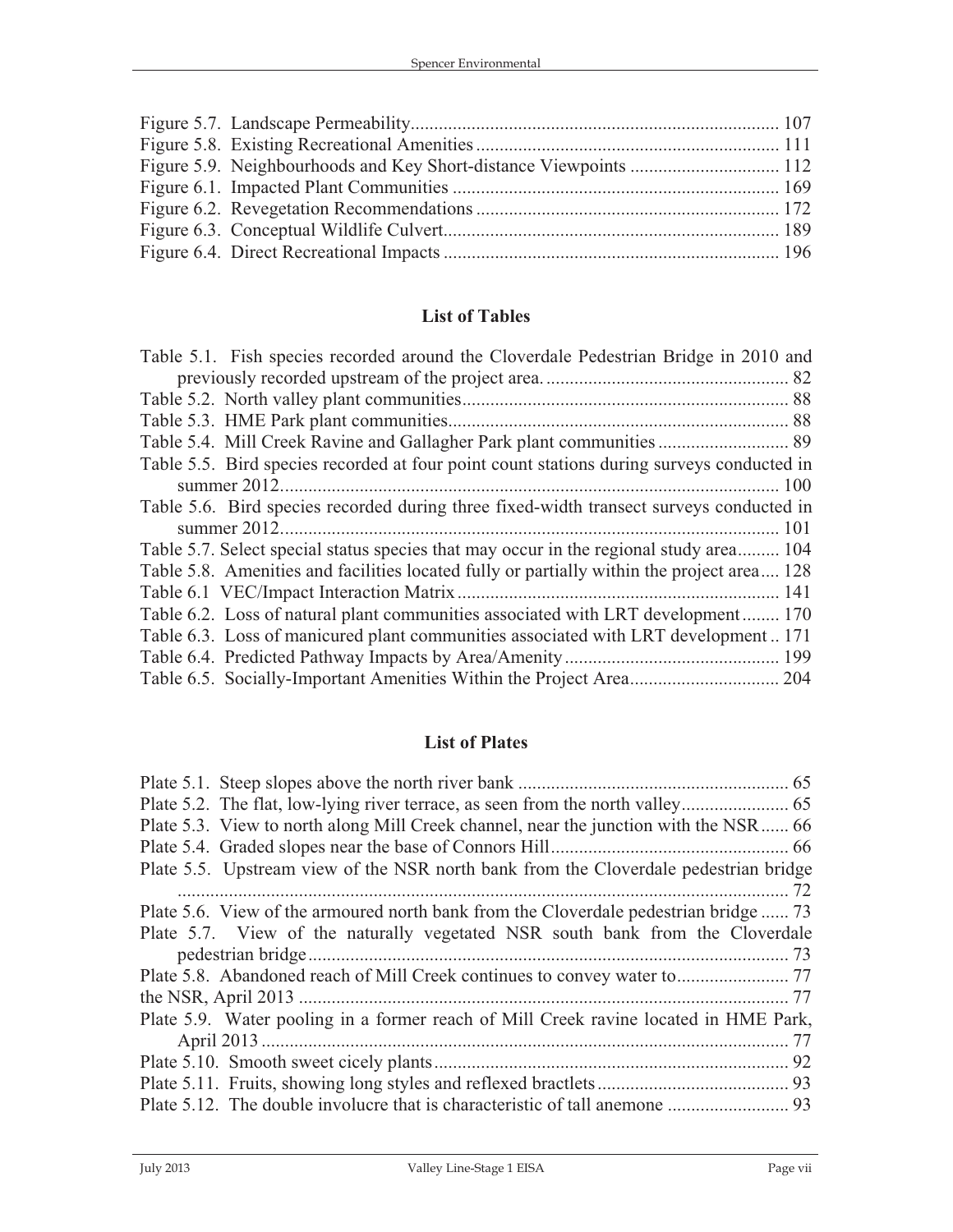#### **List of Tables**

| Table 5.1. Fish species recorded around the Cloverdale Pedestrian Bridge in 2010 and       |
|--------------------------------------------------------------------------------------------|
|                                                                                            |
|                                                                                            |
|                                                                                            |
|                                                                                            |
| Table 5.5. Bird species recorded at four point count stations during surveys conducted in  |
|                                                                                            |
| Table 5.6. Bird species recorded during three fixed-width transect surveys conducted in    |
|                                                                                            |
| Table 5.7. Select special status species that may occur in the regional study area 104     |
| Table 5.8. Amenities and facilities located fully or partially within the project area 128 |
|                                                                                            |
| Table 6.2. Loss of natural plant communities associated with LRT development 170           |
| Table 6.3. Loss of manicured plant communities associated with LRT development171          |
|                                                                                            |
|                                                                                            |
|                                                                                            |

#### **List of Plates**

| Plate 5.3. View to north along Mill Creek channel, near the junction with the NSR 66 |  |
|--------------------------------------------------------------------------------------|--|
|                                                                                      |  |
| Plate 5.5. Upstream view of the NSR north bank from the Cloverdale pedestrian bridge |  |
|                                                                                      |  |
| Plate 5.6. View of the armoured north bank from the Cloverdale pedestrian bridge  73 |  |
| Plate 5.7. View of the naturally vegetated NSR south bank from the Cloverdale        |  |
|                                                                                      |  |
|                                                                                      |  |
|                                                                                      |  |
| Plate 5.9. Water pooling in a former reach of Mill Creek ravine located in HME Park, |  |
|                                                                                      |  |
|                                                                                      |  |
|                                                                                      |  |
|                                                                                      |  |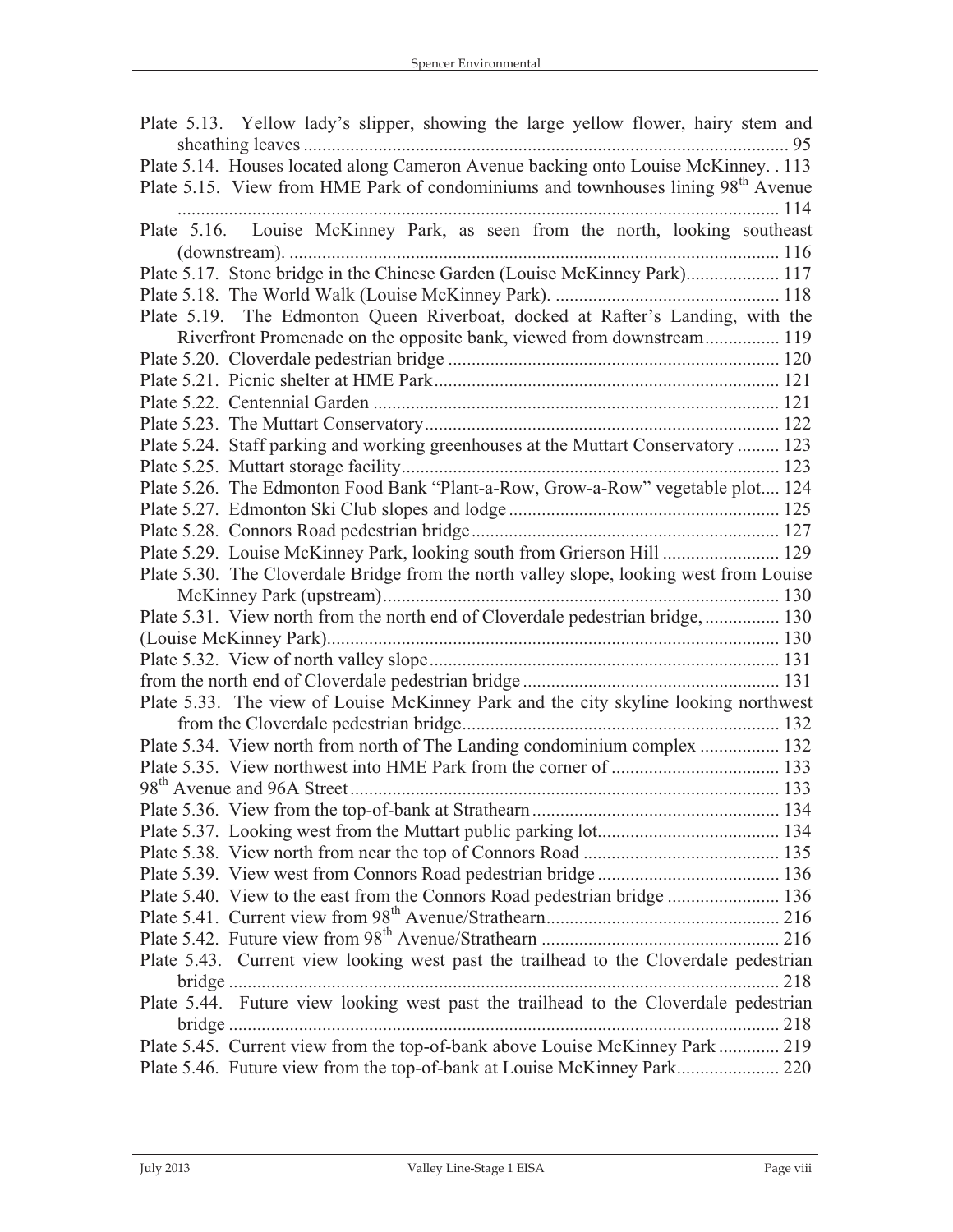| Plate 5.13. Yellow lady's slipper, showing the large yellow flower, hairy stem and           |  |
|----------------------------------------------------------------------------------------------|--|
|                                                                                              |  |
| Plate 5.14. Houses located along Cameron Avenue backing onto Louise McKinney. . 113          |  |
| Plate 5.15. View from HME Park of condominiums and townhouses lining 98 <sup>th</sup> Avenue |  |
|                                                                                              |  |
| Plate 5.16. Louise McKinney Park, as seen from the north, looking southeast                  |  |
|                                                                                              |  |
| Plate 5.17. Stone bridge in the Chinese Garden (Louise McKinney Park) 117                    |  |
|                                                                                              |  |
| Plate 5.19. The Edmonton Queen Riverboat, docked at Rafter's Landing, with the               |  |
| Riverfront Promenade on the opposite bank, viewed from downstream 119                        |  |
|                                                                                              |  |
|                                                                                              |  |
|                                                                                              |  |
|                                                                                              |  |
| Plate 5.24. Staff parking and working greenhouses at the Muttart Conservatory  123           |  |
|                                                                                              |  |
| Plate 5.26. The Edmonton Food Bank "Plant-a-Row, Grow-a-Row" vegetable plot 124              |  |
|                                                                                              |  |
|                                                                                              |  |
| Plate 5.29. Louise McKinney Park, looking south from Grierson Hill  129                      |  |
| Plate 5.30. The Cloverdale Bridge from the north valley slope, looking west from Louise      |  |
|                                                                                              |  |
| Plate 5.31. View north from the north end of Cloverdale pedestrian bridge,  130              |  |
|                                                                                              |  |
|                                                                                              |  |
|                                                                                              |  |
| Plate 5.33. The view of Louise McKinney Park and the city skyline looking northwest          |  |
|                                                                                              |  |
| Plate 5.34. View north from north of The Landing condominium complex  132                    |  |
|                                                                                              |  |
|                                                                                              |  |
|                                                                                              |  |
|                                                                                              |  |
|                                                                                              |  |
|                                                                                              |  |
| Plate 5.40. View to the east from the Connors Road pedestrian bridge  136                    |  |
|                                                                                              |  |
|                                                                                              |  |
| Plate 5.43. Current view looking west past the trailhead to the Cloverdale pedestrian        |  |
|                                                                                              |  |
| Plate 5.44. Future view looking west past the trailhead to the Cloverdale pedestrian         |  |
|                                                                                              |  |
| Plate 5.45. Current view from the top-of-bank above Louise McKinney Park  219                |  |
| Plate 5.46. Future view from the top-of-bank at Louise McKinney Park 220                     |  |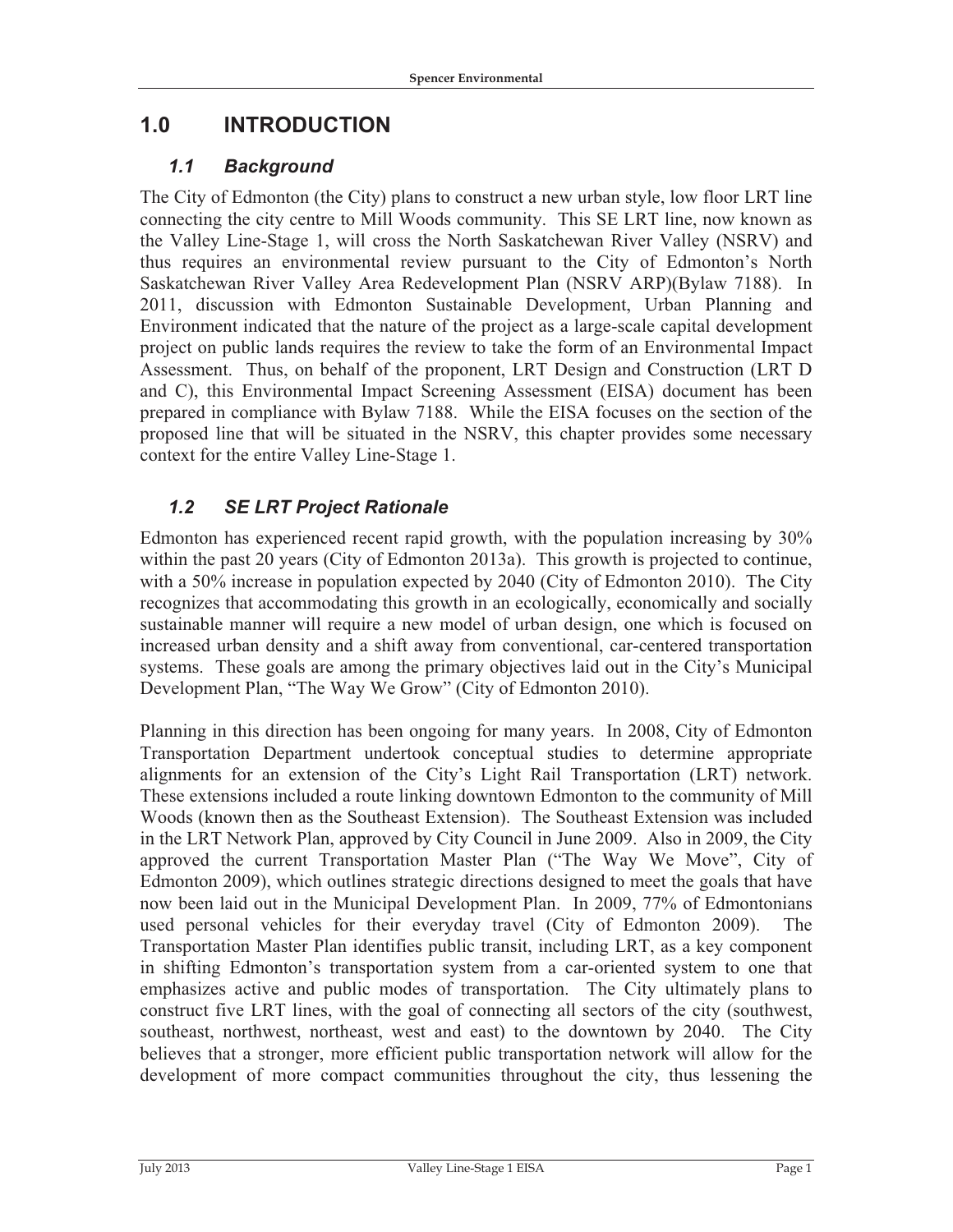## **1.0 INTRODUCTION**

#### *1.1 Background*

The City of Edmonton (the City) plans to construct a new urban style, low floor LRT line connecting the city centre to Mill Woods community. This SE LRT line, now known as the Valley Line-Stage 1, will cross the North Saskatchewan River Valley (NSRV) and thus requires an environmental review pursuant to the City of Edmonton's North Saskatchewan River Valley Area Redevelopment Plan (NSRV ARP)(Bylaw 7188). In 2011, discussion with Edmonton Sustainable Development, Urban Planning and Environment indicated that the nature of the project as a large-scale capital development project on public lands requires the review to take the form of an Environmental Impact Assessment. Thus, on behalf of the proponent, LRT Design and Construction (LRT D and C), this Environmental Impact Screening Assessment (EISA) document has been prepared in compliance with Bylaw 7188. While the EISA focuses on the section of the proposed line that will be situated in the NSRV, this chapter provides some necessary context for the entire Valley Line-Stage 1.

### *1.2 SE LRT Project Rationale*

Edmonton has experienced recent rapid growth, with the population increasing by 30% within the past 20 years (City of Edmonton 2013a). This growth is projected to continue, with a 50% increase in population expected by 2040 (City of Edmonton 2010). The City recognizes that accommodating this growth in an ecologically, economically and socially sustainable manner will require a new model of urban design, one which is focused on increased urban density and a shift away from conventional, car-centered transportation systems. These goals are among the primary objectives laid out in the City's Municipal Development Plan, "The Way We Grow" (City of Edmonton 2010).

Planning in this direction has been ongoing for many years. In 2008, City of Edmonton Transportation Department undertook conceptual studies to determine appropriate alignments for an extension of the City's Light Rail Transportation (LRT) network. These extensions included a route linking downtown Edmonton to the community of Mill Woods (known then as the Southeast Extension). The Southeast Extension was included in the LRT Network Plan, approved by City Council in June 2009. Also in 2009, the City approved the current Transportation Master Plan ("The Way We Move", City of Edmonton 2009), which outlines strategic directions designed to meet the goals that have now been laid out in the Municipal Development Plan. In 2009, 77% of Edmontonians used personal vehicles for their everyday travel (City of Edmonton 2009). The Transportation Master Plan identifies public transit, including LRT, as a key component in shifting Edmonton's transportation system from a car-oriented system to one that emphasizes active and public modes of transportation. The City ultimately plans to construct five LRT lines, with the goal of connecting all sectors of the city (southwest, southeast, northwest, northeast, west and east) to the downtown by 2040. The City believes that a stronger, more efficient public transportation network will allow for the development of more compact communities throughout the city, thus lessening the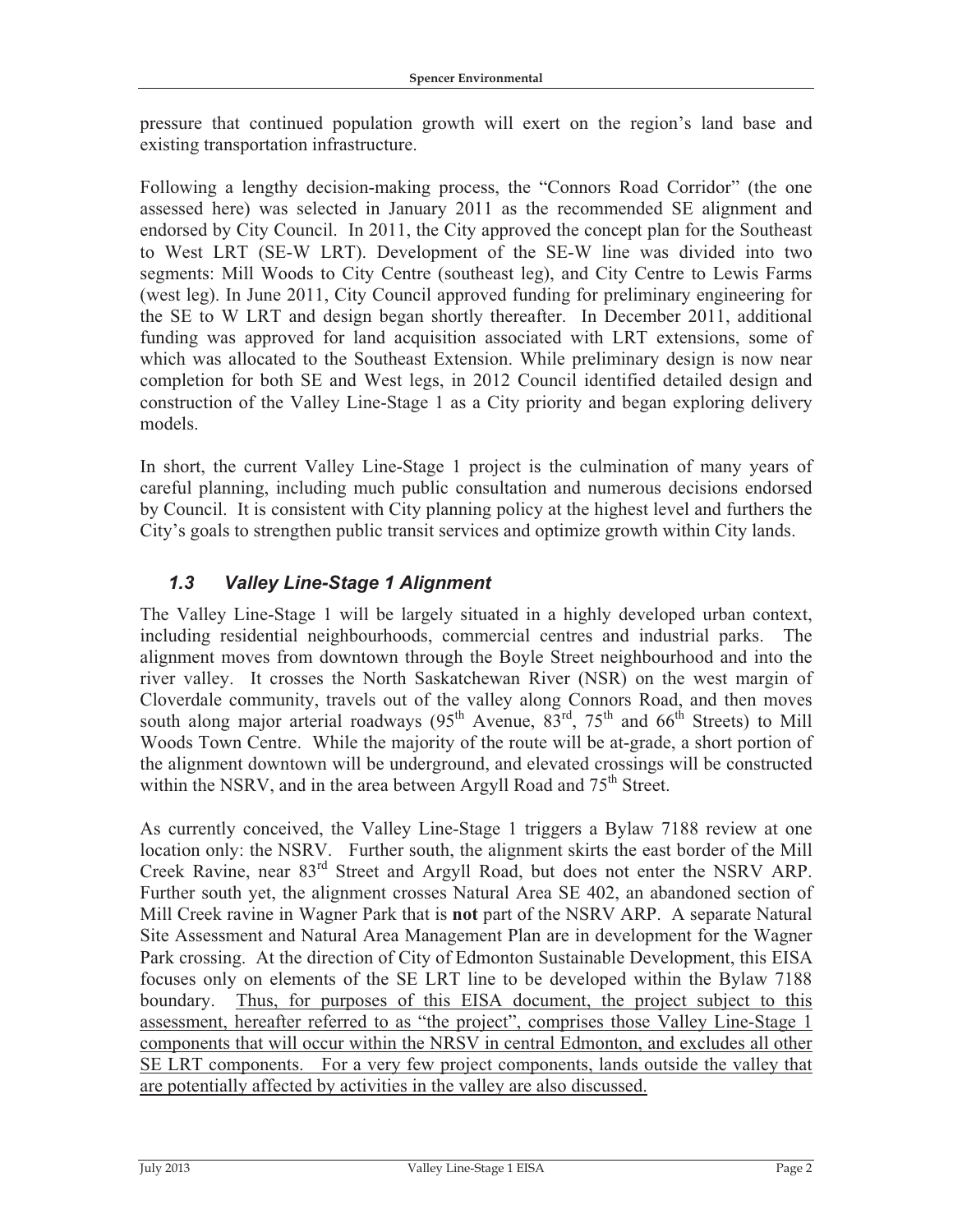pressure that continued population growth will exert on the region's land base and existing transportation infrastructure.

Following a lengthy decision-making process, the "Connors Road Corridor" (the one assessed here) was selected in January 2011 as the recommended SE alignment and endorsed by City Council. In 2011, the City approved the concept plan for the Southeast to West LRT (SE-W LRT). Development of the SE-W line was divided into two segments: Mill Woods to City Centre (southeast leg), and City Centre to Lewis Farms (west leg). In June 2011, City Council approved funding for preliminary engineering for the SE to W LRT and design began shortly thereafter. In December 2011, additional funding was approved for land acquisition associated with LRT extensions, some of which was allocated to the Southeast Extension. While preliminary design is now near completion for both SE and West legs, in 2012 Council identified detailed design and construction of the Valley Line-Stage 1 as a City priority and began exploring delivery models.

In short, the current Valley Line-Stage 1 project is the culmination of many years of careful planning, including much public consultation and numerous decisions endorsed by Council. It is consistent with City planning policy at the highest level and furthers the City's goals to strengthen public transit services and optimize growth within City lands.

### *1.3 Valley Line-Stage 1 Alignment*

The Valley Line-Stage 1 will be largely situated in a highly developed urban context, including residential neighbourhoods, commercial centres and industrial parks. The alignment moves from downtown through the Boyle Street neighbourhood and into the river valley. It crosses the North Saskatchewan River (NSR) on the west margin of Cloverdale community, travels out of the valley along Connors Road, and then moves south along major arterial roadways  $(95^{th}$  Avenue,  $83^{rd}$ ,  $75^{th}$  and  $66^{th}$  Streets) to Mill Woods Town Centre. While the majority of the route will be at-grade, a short portion of the alignment downtown will be underground, and elevated crossings will be constructed within the NSRV, and in the area between Argyll Road and  $75<sup>th</sup>$  Street.

As currently conceived, the Valley Line-Stage 1 triggers a Bylaw 7188 review at one location only: the NSRV. Further south, the alignment skirts the east border of the Mill Creek Ravine, near 83rd Street and Argyll Road, but does not enter the NSRV ARP. Further south yet, the alignment crosses Natural Area SE 402, an abandoned section of Mill Creek ravine in Wagner Park that is **not** part of the NSRV ARP. A separate Natural Site Assessment and Natural Area Management Plan are in development for the Wagner Park crossing. At the direction of City of Edmonton Sustainable Development, this EISA focuses only on elements of the SE LRT line to be developed within the Bylaw 7188 boundary. Thus, for purposes of this EISA document, the project subject to this assessment, hereafter referred to as "the project", comprises those Valley Line-Stage 1 components that will occur within the NRSV in central Edmonton, and excludes all other SE LRT components. For a very few project components, lands outside the valley that are potentially affected by activities in the valley are also discussed.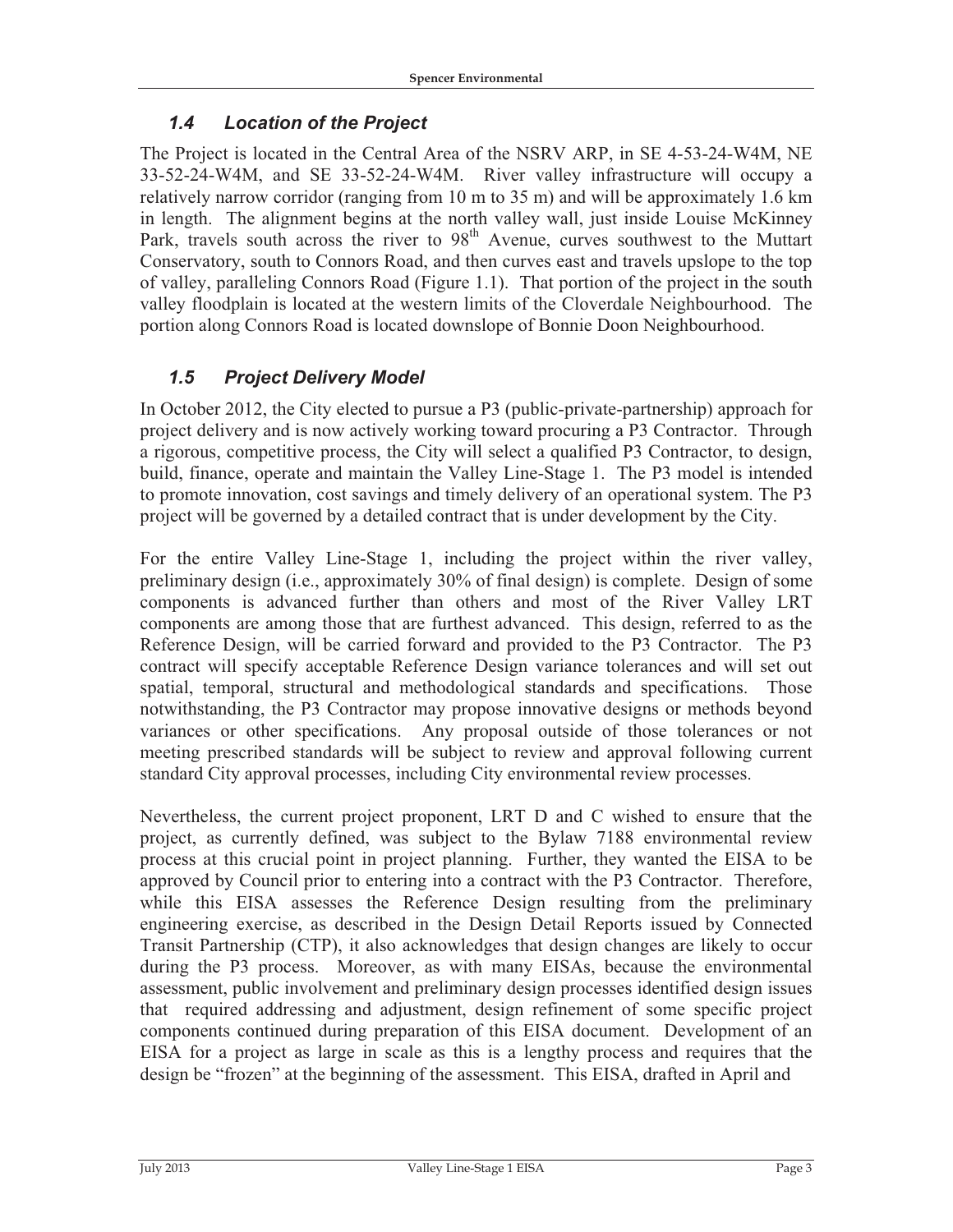#### *1.4 Location of the Project*

The Project is located in the Central Area of the NSRV ARP, in SE 4-53-24-W4M, NE 33-52-24-W4M, and SE 33-52-24-W4M. River valley infrastructure will occupy a relatively narrow corridor (ranging from 10 m to 35 m) and will be approximately 1.6 km in length. The alignment begins at the north valley wall, just inside Louise McKinney Park, travels south across the river to 98<sup>th</sup> Avenue, curves southwest to the Muttart Conservatory, south to Connors Road, and then curves east and travels upslope to the top of valley, paralleling Connors Road (Figure 1.1). That portion of the project in the south valley floodplain is located at the western limits of the Cloverdale Neighbourhood. The portion along Connors Road is located downslope of Bonnie Doon Neighbourhood.

#### *1.5 Project Delivery Model*

In October 2012, the City elected to pursue a P3 (public-private-partnership) approach for project delivery and is now actively working toward procuring a P3 Contractor. Through a rigorous, competitive process, the City will select a qualified P3 Contractor, to design, build, finance, operate and maintain the Valley Line-Stage 1. The P3 model is intended to promote innovation, cost savings and timely delivery of an operational system. The P3 project will be governed by a detailed contract that is under development by the City.

For the entire Valley Line-Stage 1, including the project within the river valley, preliminary design (i.e., approximately 30% of final design) is complete. Design of some components is advanced further than others and most of the River Valley LRT components are among those that are furthest advanced. This design, referred to as the Reference Design, will be carried forward and provided to the P3 Contractor. The P3 contract will specify acceptable Reference Design variance tolerances and will set out spatial, temporal, structural and methodological standards and specifications. Those notwithstanding, the P3 Contractor may propose innovative designs or methods beyond variances or other specifications. Any proposal outside of those tolerances or not meeting prescribed standards will be subject to review and approval following current standard City approval processes, including City environmental review processes.

Nevertheless, the current project proponent, LRT D and C wished to ensure that the project, as currently defined, was subject to the Bylaw 7188 environmental review process at this crucial point in project planning. Further, they wanted the EISA to be approved by Council prior to entering into a contract with the P3 Contractor. Therefore, while this EISA assesses the Reference Design resulting from the preliminary engineering exercise, as described in the Design Detail Reports issued by Connected Transit Partnership (CTP), it also acknowledges that design changes are likely to occur during the P3 process. Moreover, as with many EISAs, because the environmental assessment, public involvement and preliminary design processes identified design issues that required addressing and adjustment, design refinement of some specific project components continued during preparation of this EISA document. Development of an EISA for a project as large in scale as this is a lengthy process and requires that the design be "frozen" at the beginning of the assessment. This EISA, drafted in April and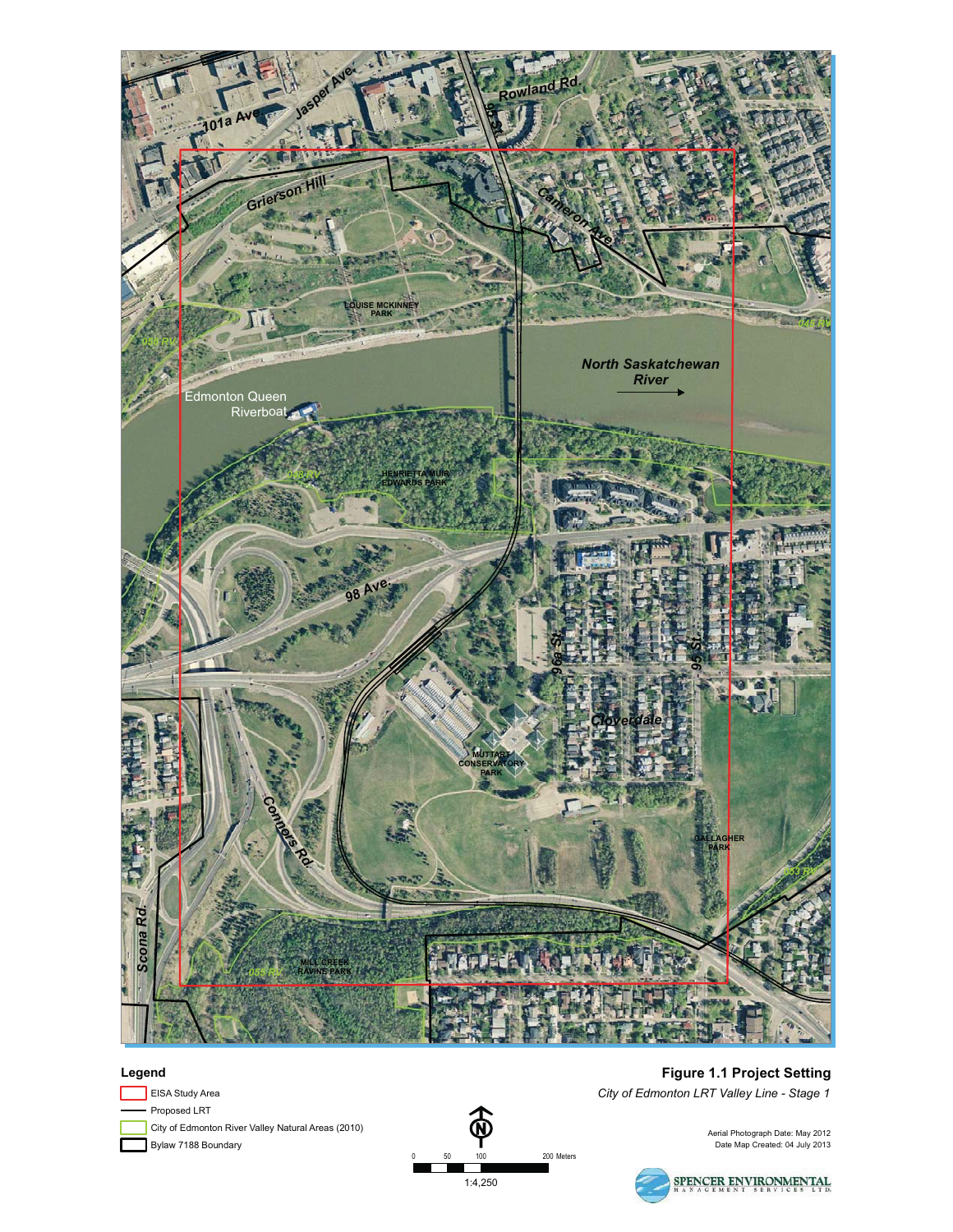

#### **Legend**

- Proposed LRT Bylaw 7188 Boundary EISA Study Area City of Edmonton River Valley Natural Areas (2010)



**Figure 1.1 Project Setting** *City of Edmonton LRT Valley Line - Stage 1*

Aerial Photograph Date: May 2012 Date Map Created: 04 July 2013

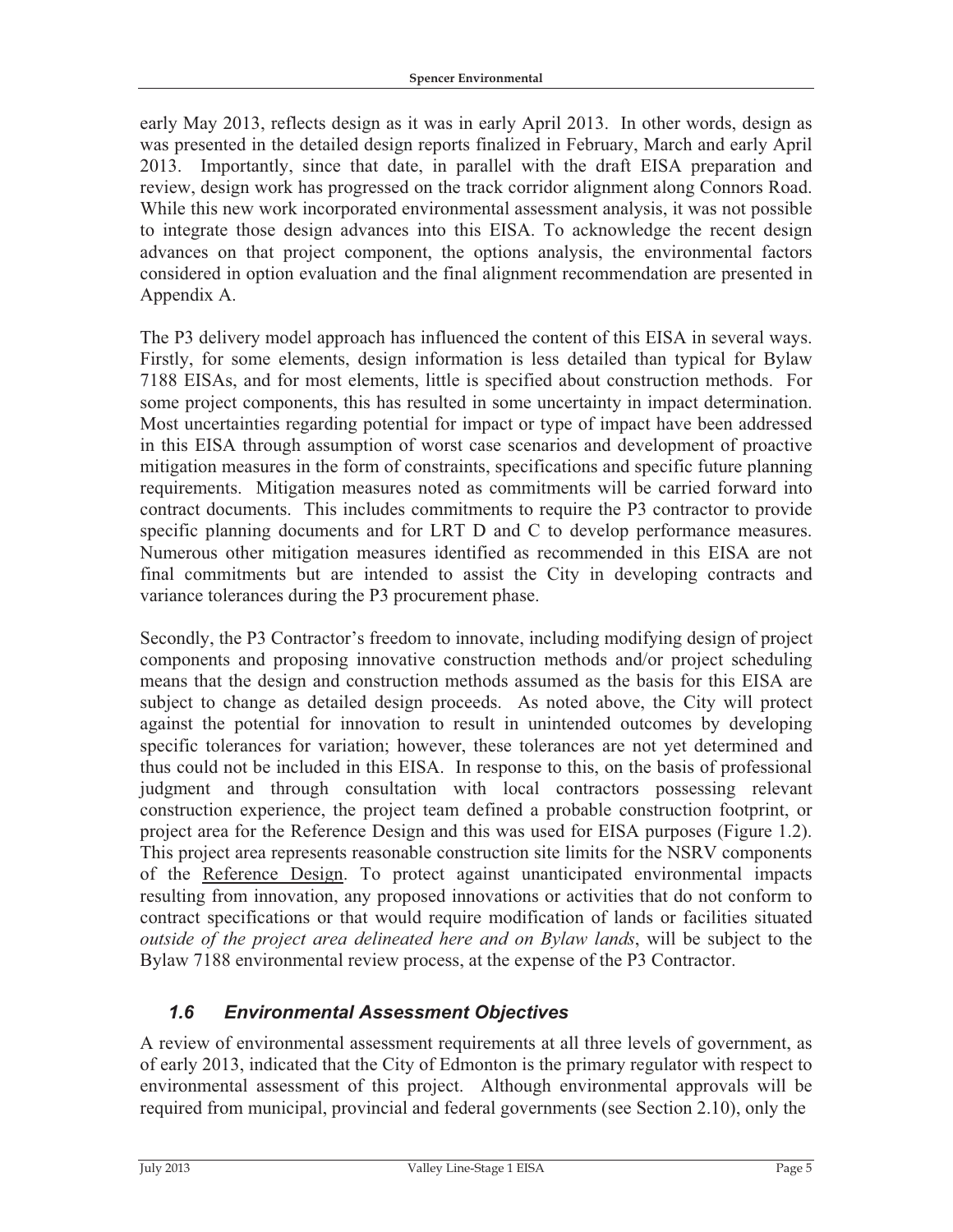early May 2013, reflects design as it was in early April 2013. In other words, design as was presented in the detailed design reports finalized in February, March and early April 2013. Importantly, since that date, in parallel with the draft EISA preparation and review, design work has progressed on the track corridor alignment along Connors Road. While this new work incorporated environmental assessment analysis, it was not possible to integrate those design advances into this EISA. To acknowledge the recent design advances on that project component, the options analysis, the environmental factors considered in option evaluation and the final alignment recommendation are presented in Appendix A.

The P3 delivery model approach has influenced the content of this EISA in several ways. Firstly, for some elements, design information is less detailed than typical for Bylaw 7188 EISAs, and for most elements, little is specified about construction methods. For some project components, this has resulted in some uncertainty in impact determination. Most uncertainties regarding potential for impact or type of impact have been addressed in this EISA through assumption of worst case scenarios and development of proactive mitigation measures in the form of constraints, specifications and specific future planning requirements. Mitigation measures noted as commitments will be carried forward into contract documents. This includes commitments to require the P3 contractor to provide specific planning documents and for LRT D and C to develop performance measures. Numerous other mitigation measures identified as recommended in this EISA are not final commitments but are intended to assist the City in developing contracts and variance tolerances during the P3 procurement phase.

Secondly, the P3 Contractor's freedom to innovate, including modifying design of project components and proposing innovative construction methods and/or project scheduling means that the design and construction methods assumed as the basis for this EISA are subject to change as detailed design proceeds. As noted above, the City will protect against the potential for innovation to result in unintended outcomes by developing specific tolerances for variation; however, these tolerances are not yet determined and thus could not be included in this EISA. In response to this, on the basis of professional judgment and through consultation with local contractors possessing relevant construction experience, the project team defined a probable construction footprint, or project area for the Reference Design and this was used for EISA purposes (Figure 1.2). This project area represents reasonable construction site limits for the NSRV components of the Reference Design. To protect against unanticipated environmental impacts resulting from innovation, any proposed innovations or activities that do not conform to contract specifications or that would require modification of lands or facilities situated *outside of the project area delineated here and on Bylaw lands*, will be subject to the Bylaw 7188 environmental review process, at the expense of the P3 Contractor.

### *1.6 Environmental Assessment Objectives*

A review of environmental assessment requirements at all three levels of government, as of early 2013, indicated that the City of Edmonton is the primary regulator with respect to environmental assessment of this project. Although environmental approvals will be required from municipal, provincial and federal governments (see Section 2.10), only the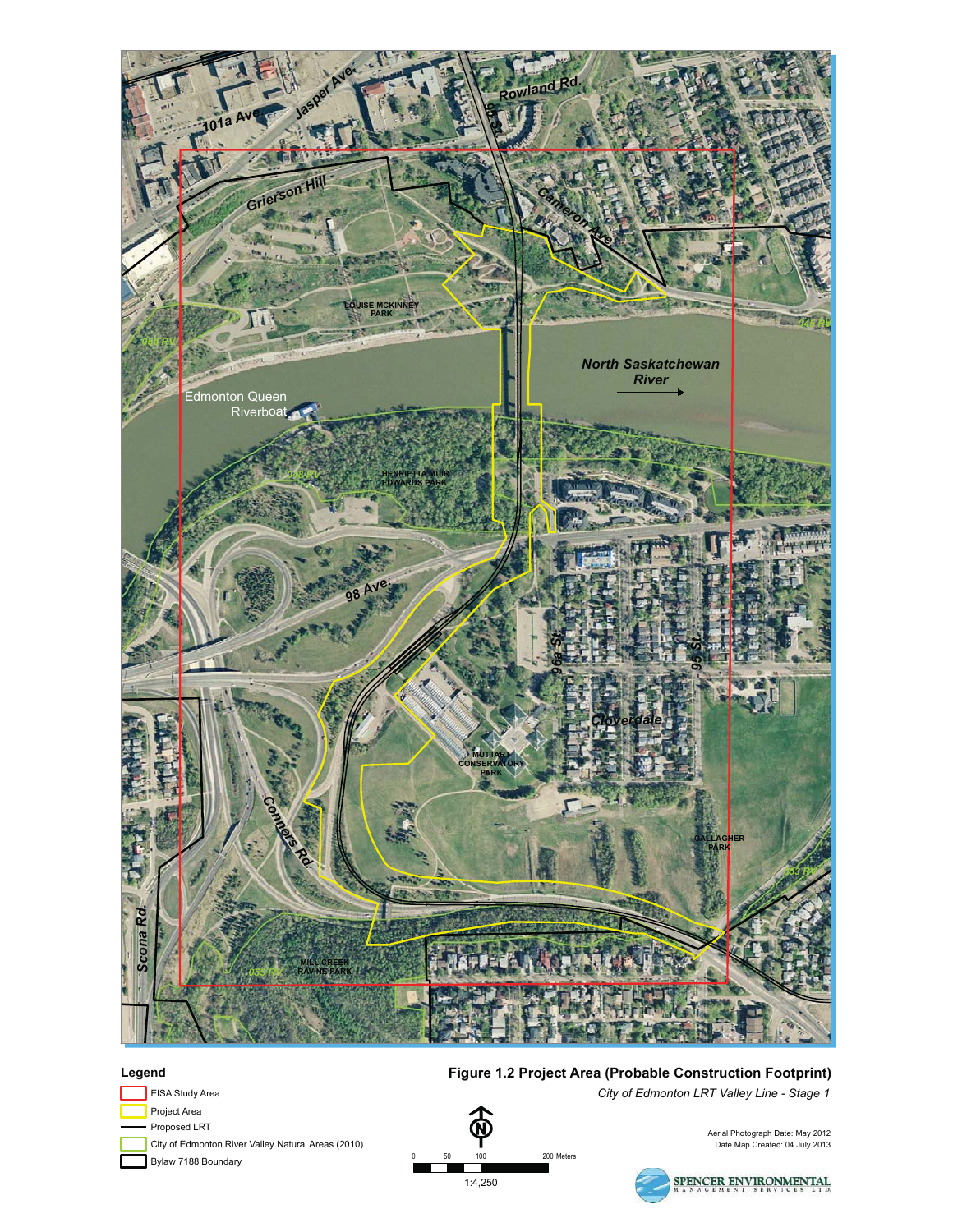

0 50 100 200 Meters 1:4,250

 $100$ 

#### **Legend**

- EISA Study Area Project Area
- 
- Proposed LRT
- City of Edmonton River Valley Natural Areas (2010)
- Bylaw 7188 Boundary

#### **Figure 1.2 Project Area (Probable Construction Footprint)**

*City of Edmonton LRT Valley Line - Stage 1*

Aerial Photograph Date: May 2012 Date Map Created: 04 July 2013



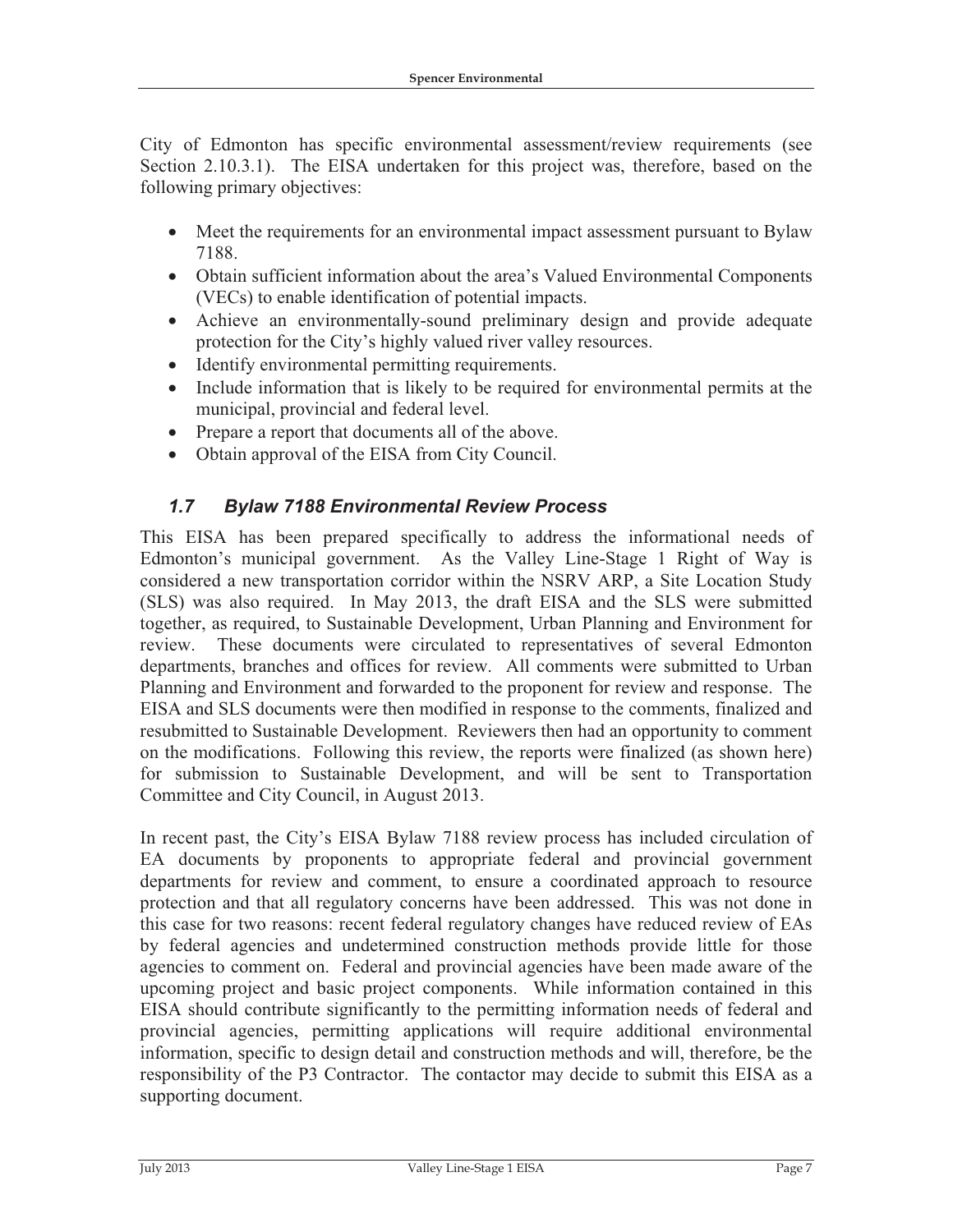City of Edmonton has specific environmental assessment/review requirements (see Section 2.10.3.1). The EISA undertaken for this project was, therefore, based on the following primary objectives:

- Meet the requirements for an environmental impact assessment pursuant to Bylaw 7188.
- Obtain sufficient information about the area's Valued Environmental Components (VECs) to enable identification of potential impacts.
- Achieve an environmentally-sound preliminary design and provide adequate protection for the City's highly valued river valley resources.
- Identify environmental permitting requirements.
- Include information that is likely to be required for environmental permits at the municipal, provincial and federal level.
- Prepare a report that documents all of the above.
- Obtain approval of the EISA from City Council.

#### *1.7 Bylaw 7188 Environmental Review Process*

This EISA has been prepared specifically to address the informational needs of Edmonton's municipal government. As the Valley Line-Stage 1 Right of Way is considered a new transportation corridor within the NSRV ARP, a Site Location Study (SLS) was also required. In May 2013, the draft EISA and the SLS were submitted together, as required, to Sustainable Development, Urban Planning and Environment for review. These documents were circulated to representatives of several Edmonton departments, branches and offices for review. All comments were submitted to Urban Planning and Environment and forwarded to the proponent for review and response. The EISA and SLS documents were then modified in response to the comments, finalized and resubmitted to Sustainable Development. Reviewers then had an opportunity to comment on the modifications. Following this review, the reports were finalized (as shown here) for submission to Sustainable Development, and will be sent to Transportation Committee and City Council, in August 2013.

In recent past, the City's EISA Bylaw 7188 review process has included circulation of EA documents by proponents to appropriate federal and provincial government departments for review and comment, to ensure a coordinated approach to resource protection and that all regulatory concerns have been addressed. This was not done in this case for two reasons: recent federal regulatory changes have reduced review of EAs by federal agencies and undetermined construction methods provide little for those agencies to comment on. Federal and provincial agencies have been made aware of the upcoming project and basic project components. While information contained in this EISA should contribute significantly to the permitting information needs of federal and provincial agencies, permitting applications will require additional environmental information, specific to design detail and construction methods and will, therefore, be the responsibility of the P3 Contractor. The contactor may decide to submit this EISA as a supporting document.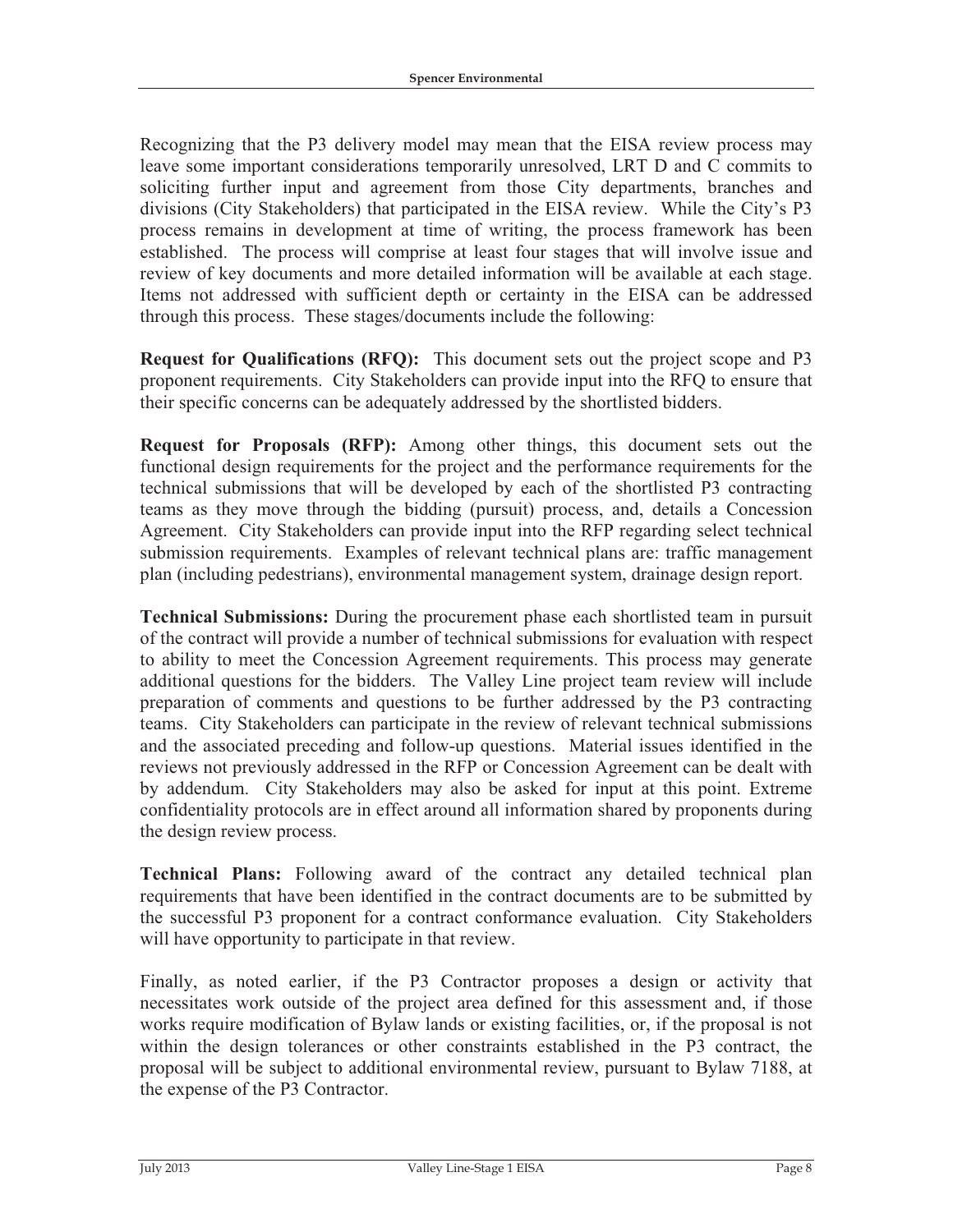Recognizing that the P3 delivery model may mean that the EISA review process may leave some important considerations temporarily unresolved, LRT D and C commits to soliciting further input and agreement from those City departments, branches and divisions (City Stakeholders) that participated in the EISA review. While the City's P3 process remains in development at time of writing, the process framework has been established. The process will comprise at least four stages that will involve issue and review of key documents and more detailed information will be available at each stage. Items not addressed with sufficient depth or certainty in the EISA can be addressed through this process. These stages/documents include the following:

**Request for Qualifications (RFQ):** This document sets out the project scope and P3 proponent requirements. City Stakeholders can provide input into the RFQ to ensure that their specific concerns can be adequately addressed by the shortlisted bidders.

**Request for Proposals (RFP):** Among other things, this document sets out the functional design requirements for the project and the performance requirements for the technical submissions that will be developed by each of the shortlisted P3 contracting teams as they move through the bidding (pursuit) process, and, details a Concession Agreement. City Stakeholders can provide input into the RFP regarding select technical submission requirements. Examples of relevant technical plans are: traffic management plan (including pedestrians), environmental management system, drainage design report.

**Technical Submissions:** During the procurement phase each shortlisted team in pursuit of the contract will provide a number of technical submissions for evaluation with respect to ability to meet the Concession Agreement requirements. This process may generate additional questions for the bidders. The Valley Line project team review will include preparation of comments and questions to be further addressed by the P3 contracting teams. City Stakeholders can participate in the review of relevant technical submissions and the associated preceding and follow-up questions. Material issues identified in the reviews not previously addressed in the RFP or Concession Agreement can be dealt with by addendum. City Stakeholders may also be asked for input at this point. Extreme confidentiality protocols are in effect around all information shared by proponents during the design review process.

**Technical Plans:** Following award of the contract any detailed technical plan requirements that have been identified in the contract documents are to be submitted by the successful P3 proponent for a contract conformance evaluation. City Stakeholders will have opportunity to participate in that review.

Finally, as noted earlier, if the P3 Contractor proposes a design or activity that necessitates work outside of the project area defined for this assessment and, if those works require modification of Bylaw lands or existing facilities, or, if the proposal is not within the design tolerances or other constraints established in the P3 contract, the proposal will be subject to additional environmental review, pursuant to Bylaw 7188, at the expense of the P3 Contractor.